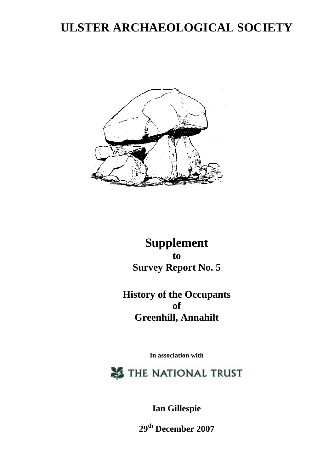# **ULSTER ARCHAEOLOGICAL SOCIETY**



## **Supplement to Survey Report No. 5**

**History of the Occupants of Greenhill, Annahilt**

**In association with**

THE NATIONAL TRUST

**Ian Gillespie**

**29th December 2007**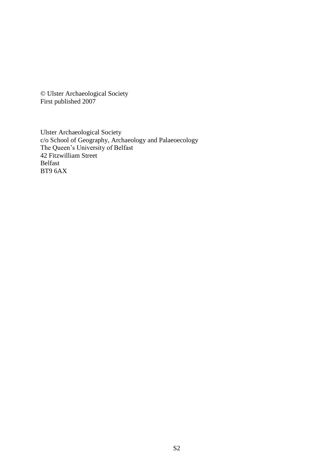© Ulster Archaeological Society First published 2007

Ulster Archaeological Society c/o School of Geography, Archaeology and Palaeoecology The Queen's University of Belfast 42 Fitzwilliam Street Belfast BT9 6AX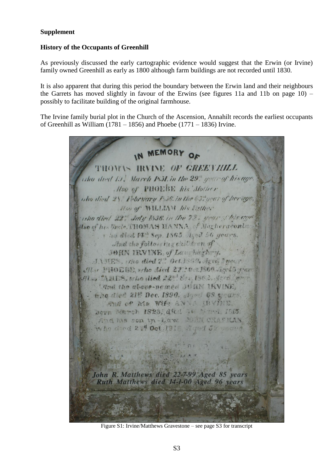#### **Supplement**

#### **History of the Occupants of Greenhill**

As previously discussed the early cartographic evidence would suggest that the Erwin (or Irvine) family owned Greenhill as early as 1800 although farm buildings are not recorded until 1830.

It is also apparent that during this period the boundary between the Erwin land and their neighbours the Garrets has moved slightly in favour of the Erwins (see figures 11a and 11b on page 10) – possibly to facilitate building of the original farmhouse.

The Irvine family burial plot in the Church of the Ascension, Annahilt records the earliest occupants of Greenhill as William  $(1781 - 1856)$  and Phoebe  $(1771 - 1836)$  Irvine.



Figure S1: Irvine/Matthews Gravestone – see page S3 for transcript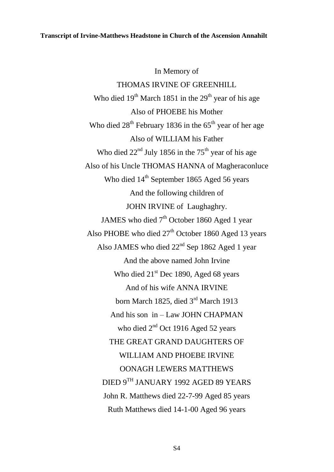#### **Transcript of Irvine-Matthews Headstone in Church of the Ascension Annahilt**

In Memory of THOMAS IRVINE OF GREENHILL Who died  $19<sup>th</sup>$  March 1851 in the  $29<sup>th</sup>$  year of his age Also of PHOEBE his Mother Who died  $28<sup>th</sup>$  February 1836 in the  $65<sup>th</sup>$  year of her age Also of WILLIAM his Father Who died  $22<sup>nd</sup>$  July 1856 in the 75<sup>th</sup> year of his age Also of his Uncle THOMAS HANNA of Magheraconluce Who died 14<sup>th</sup> September 1865 Aged 56 years And the following children of JOHN IRVINE of Laughaghry. JAMES who died 7<sup>th</sup> October 1860 Aged 1 year Also PHOBE who died  $27<sup>th</sup>$  October 1860 Aged 13 years Also JAMES who died  $22<sup>nd</sup>$  Sep 1862 Aged 1 year And the above named John Irvine Who died  $21<sup>st</sup>$  Dec 1890, Aged 68 years And of his wife ANNA IRVINE born March 1825, died 3rd March 1913 And his son in – Law JOHN CHAPMAN who died 2<sup>nd</sup> Oct 1916 Aged 52 years THE GREAT GRAND DAUGHTERS OF WILLIAM AND PHOEBE IRVINE OONAGH LEWERS MATTHEWS DIED 9TH JANUARY 1992 AGED 89 YEARS John R. Matthews died 22-7-99 Aged 85 years Ruth Matthews died 14-1-00 Aged 96 years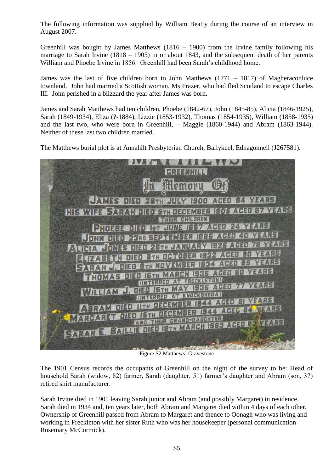The following information was supplied by William Beatty during the course of an interview in August 2007.

Greenhill was bought by James Matthews  $(1816 - 1900)$  from the Irvine family following his marriage to Sarah Irvine (1818 – 1905) in or about 1843, and the subsequent death of her parents William and Phoebe Irvine in 1856. Greenhill had been Sarah's childhood home.

James was the last of five children born to John Matthews (1771 – 1817) of Magheraconluce townland. John had married a Scottish woman, Ms Frazer, who had fled Scotland to escape Charles III. John perished in a blizzard the year after James was born.

James and Sarah Matthews had ten children, Phoebe (1842-67), John (1845-85), Alicia (1846-1925), Sarah (1849-1934), Eliza (?-1884), Lizzie (1853-1932), Thomas (1854-1935), William (1858-1935) and the last two, who were born in Greenhill, – Maggie (1860-1944) and Abram (1863-1944). Neither of these last two children married.

The Matthews burial plot is at Annahilt Presbyterian Church, Ballykeel, Ednagonnell (J267581).



Figure S2 Matthews' Gravestone

The 1901 Census records the occupants of Greenhill on the night of the survey to be: Head of household Sarah (widow, 82) farmer, Sarah (daughter, 51) farmer's daughter and Abram (son, 37) retired shirt manufacturer.

Sarah Irvine died in 1905 leaving Sarah junior and Abram (and possibly Margaret) in residence. Sarah died in 1934 and, ten years later, both Abram and Margaret died within 4 days of each other. Ownership of Greenhill passed from Abram to Margaret and thence to Oonagh who was living and working in Freckleton with her sister Ruth who was her housekeeper (personal communication Rosemary McCormick).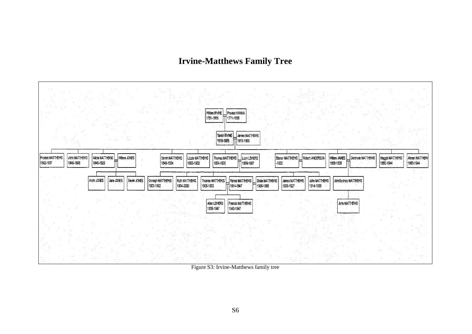### **Irvine-Matthews Family Tree**



Figure S3: Irvine-Matthews family tree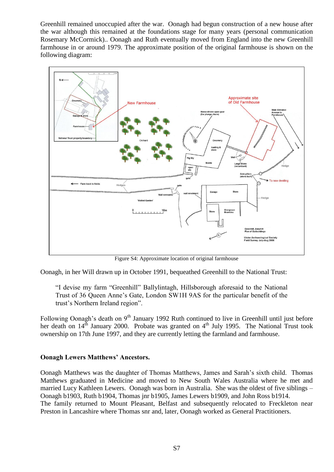Greenhill remained unoccupied after the war. Oonagh had begun construction of a new house after the war although this remained at the foundations stage for many years (personal communication Rosemary McCormick).. Oonagh and Ruth eventually moved from England into the new Greenhill farmhouse in or around 1979. The approximate position of the original farmhouse is shown on the following diagram:



Figure S4: Approximate location of original farmhouse

Oonagh, in her Will drawn up in October 1991, bequeathed Greenhill to the National Trust:

"I devise my farm "Greenhill" Ballylintagh, Hillsborough aforesaid to the National Trust of 36 Queen Anne's Gate, London SW1H 9AS for the particular benefit of the trust's Northern Ireland region".

Following Oonagh's death on 9<sup>th</sup> January 1992 Ruth continued to live in Greenhill until just before her death on  $14^{th}$  January 2000. Probate was granted on  $4^{th}$  July 1995. The National Trust took ownership on 17th June 1997, and they are currently letting the farmland and farmhouse.

#### **Oonagh Lewers Matthews' Ancestors.**

Oonagh Matthews was the daughter of Thomas Matthews, James and Sarah's sixth child. Thomas Matthews graduated in Medicine and moved to New South Wales Australia where he met and married Lucy Kathleen Lewers. Oonagh was born in Australia. She was the oldest of five siblings – Oonagh b1903, Ruth b1904, Thomas jnr b1905, James Lewers b1909, and John Ross b1914. The family returned to Mount Pleasant, Belfast and subsequently relocated to Freckleton near Preston in Lancashire where Thomas snr and, later, Oonagh worked as General Practitioners.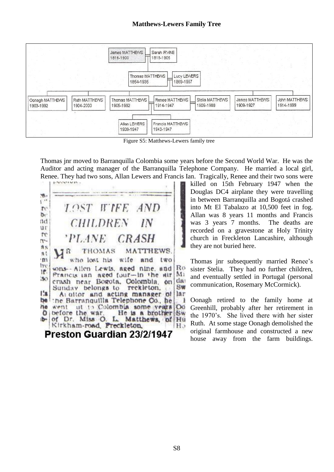

Figure S5: Matthews-Lewers family tree

Thomas jnr moved to Barranquilla Colombia some years before the Second World War. He was the Auditor and acting manager of the Barranquilla Telephone Company. He married a local girl, Renee. They had two sons, Allan Lewers and Francis Ian. Tragically, Renee and their two sons were



killed on 15th February 1947 when the Douglas DC4 airplane they were travelling in between Barranquilla and Bogotá crashed into Mt El Tabalazo at 10,500 feet in fog. Allan was 8 years 11 months and Francis was 3 years 7 months. The deaths are recorded on a gravestone at Holy Trinity church in Freckleton Lancashire, although they are not buried here.

Thomas jnr subsequently married Renee's sister Stelia. They had no further children, and eventually settled in Portugal (personal communication, Rosemary McCormick).

Oonagh retired to the family home at Greenhill, probably after her retirement in the 1970's. She lived there with her sister Ruth. At some stage Oonagh demolished the original farmhouse and constructed a new house away from the farm buildings.